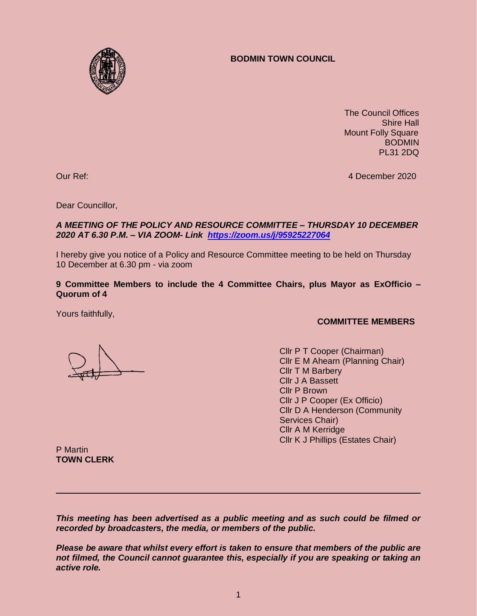## **BODMIN TOWN COUNCIL**



 The Council Offices Shire Hall Mount Folly Square BODMIN PL31 2DQ

Our Ref: 4 December 2020

Dear Councillor,

### *A MEETING OF THE POLICY AND RESOURCE COMMITTEE – THURSDAY 10 DECEMBER 2020 AT 6.30 P.M. – VIA ZOOM- Link <https://zoom.us/j/95925227064>*

I hereby give you notice of a Policy and Resource Committee meeting to be held on Thursday 10 December at 6.30 pm - via zoom

### **9 Committee Members to include the 4 Committee Chairs, plus Mayor as ExOfficio – Quorum of 4**

Yours faithfully,

### **COMMITTEE MEMBERS**

Cllr P T Cooper (Chairman) Cllr E M Ahearn (Planning Chair) Cllr T M Barbery Cllr J A Bassett Cllr P Brown Cllr J P Cooper (Ex Officio) Cllr D A Henderson (Community Services Chair) Cllr A M Kerridge Cllr K J Phillips (Estates Chair)

P Martin **TOWN CLERK**

*This meeting has been advertised as a public meeting and as such could be filmed or recorded by broadcasters, the media, or members of the public.*

*Please be aware that whilst every effort is taken to ensure that members of the public are not filmed, the Council cannot guarantee this, especially if you are speaking or taking an active role.*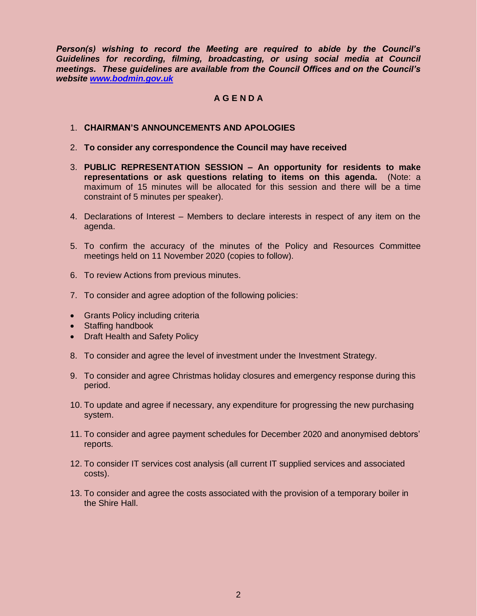*Person(s) wishing to record the Meeting are required to abide by the Council's Guidelines for recording, filming, broadcasting, or using social media at Council meetings. These guidelines are available from the Council Offices and on the Council's website [www.bodmin.gov.uk](http://www.bodmin.gov.uk/)*

# **A G E N D A**

#### 1. **CHAIRMAN'S ANNOUNCEMENTS AND APOLOGIES**

- 2. **To consider any correspondence the Council may have received**
- 3. **PUBLIC REPRESENTATION SESSION – An opportunity for residents to make representations or ask questions relating to items on this agenda.** (Note: a maximum of 15 minutes will be allocated for this session and there will be a time constraint of 5 minutes per speaker).
- 4. Declarations of Interest Members to declare interests in respect of any item on the agenda.
- 5. To confirm the accuracy of the minutes of the Policy and Resources Committee meetings held on 11 November 2020 (copies to follow).
- 6. To review Actions from previous minutes.
- 7. To consider and agree adoption of the following policies:
- Grants Policy including criteria
- Staffing handbook
- Draft Health and Safety Policy
- 8. To consider and agree the level of investment under the Investment Strategy.
- 9. To consider and agree Christmas holiday closures and emergency response during this period.
- 10. To update and agree if necessary, any expenditure for progressing the new purchasing system.
- 11. To consider and agree payment schedules for December 2020 and anonymised debtors' reports.
- 12. To consider IT services cost analysis (all current IT supplied services and associated costs).
- 13. To consider and agree the costs associated with the provision of a temporary boiler in the Shire Hall.